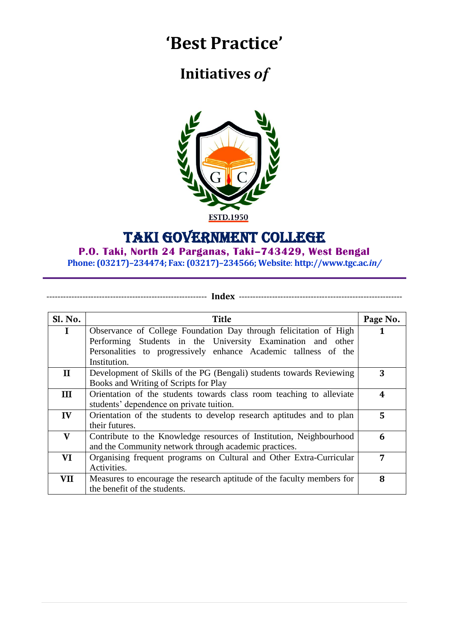# **'Best Practice'**

# **Initiatives** *of*



## Taki Government College

### **P.O. Taki, North 24 Parganas, Taki–743429, West Bengal**

**Phone: (03217)–234474; Fax: (03217)–234566; Website**: **http://www.tgc.ac***.in/*

---------------------------------------------------------- **Index** -----------------------------------------------------------

| Sl. No.      | Title                                                                  | Page No. |
|--------------|------------------------------------------------------------------------|----------|
| $\bf I$      | Observance of College Foundation Day through felicitation of High      | 1        |
|              | Performing Students in the University Examination and other            |          |
|              | Personalities to progressively enhance Academic tallness of the        |          |
|              | Institution.                                                           |          |
| $\mathbf H$  | Development of Skills of the PG (Bengali) students towards Reviewing   | 3        |
|              | Books and Writing of Scripts for Play                                  |          |
| $\mathbf{I}$ | Orientation of the students towards class room teaching to alleviate   | 4        |
|              | students' dependence on private tuition.                               |          |
| IV           | Orientation of the students to develop research aptitudes and to plan  | 5        |
|              | their futures.                                                         |          |
| V            | Contribute to the Knowledge resources of Institution, Neighbourhood    | 6        |
|              | and the Community network through academic practices.                  |          |
| VI           | Organising frequent programs on Cultural and Other Extra-Curricular    | 7        |
|              | Activities.                                                            |          |
| VII          | Measures to encourage the research aptitude of the faculty members for | 8        |
|              | the benefit of the students.                                           |          |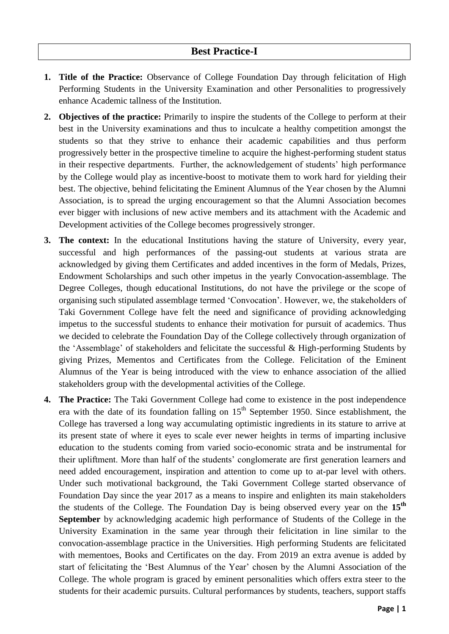- **1. Title of the Practice:** Observance of College Foundation Day through felicitation of High Performing Students in the University Examination and other Personalities to progressively enhance Academic tallness of the Institution.
- **2. Objectives of the practice:** Primarily to inspire the students of the College to perform at their best in the University examinations and thus to inculcate a healthy competition amongst the students so that they strive to enhance their academic capabilities and thus perform progressively better in the prospective timeline to acquire the highest-performing student status in their respective departments. Further, the acknowledgement of students' high performance by the College would play as incentive-boost to motivate them to work hard for yielding their best. The objective, behind felicitating the Eminent Alumnus of the Year chosen by the Alumni Association, is to spread the urging encouragement so that the Alumni Association becomes ever bigger with inclusions of new active members and its attachment with the Academic and Development activities of the College becomes progressively stronger.
- **3. The context:** In the educational Institutions having the stature of University, every year, successful and high performances of the passing-out students at various strata are acknowledged by giving them Certificates and added incentives in the form of Medals, Prizes, Endowment Scholarships and such other impetus in the yearly Convocation-assemblage. The Degree Colleges, though educational Institutions, do not have the privilege or the scope of organising such stipulated assemblage termed "Convocation". However, we, the stakeholders of Taki Government College have felt the need and significance of providing acknowledging impetus to the successful students to enhance their motivation for pursuit of academics. Thus we decided to celebrate the Foundation Day of the College collectively through organization of the "Assemblage" of stakeholders and felicitate the successful & High-performing Students by giving Prizes, Mementos and Certificates from the College. Felicitation of the Eminent Alumnus of the Year is being introduced with the view to enhance association of the allied stakeholders group with the developmental activities of the College.
- **4. The Practice:** The Taki Government College had come to existence in the post independence era with the date of its foundation falling on  $15<sup>th</sup>$  September 1950. Since establishment, the College has traversed a long way accumulating optimistic ingredients in its stature to arrive at its present state of where it eyes to scale ever newer heights in terms of imparting inclusive education to the students coming from varied socio-economic strata and be instrumental for their upliftment. More than half of the students" conglomerate are first generation learners and need added encouragement, inspiration and attention to come up to at-par level with others. Under such motivational background, the Taki Government College started observance of Foundation Day since the year 2017 as a means to inspire and enlighten its main stakeholders the students of the College. The Foundation Day is being observed every year on the **15th September** by acknowledging academic high performance of Students of the College in the University Examination in the same year through their felicitation in line similar to the convocation-assemblage practice in the Universities. High performing Students are felicitated with mementoes, Books and Certificates on the day. From 2019 an extra avenue is added by start of felicitating the "Best Alumnus of the Year" chosen by the Alumni Association of the College. The whole program is graced by eminent personalities which offers extra steer to the students for their academic pursuits. Cultural performances by students, teachers, support staffs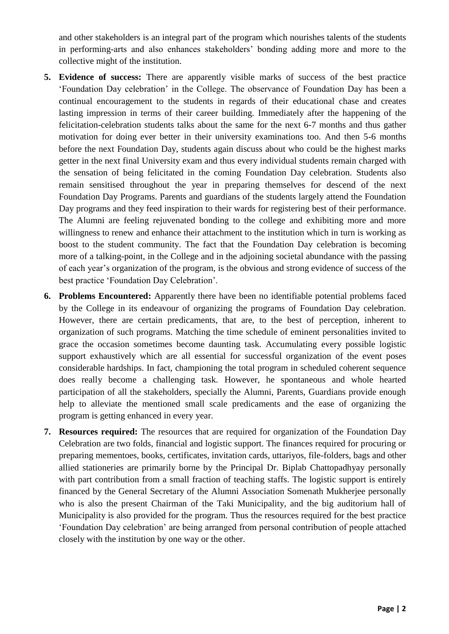and other stakeholders is an integral part of the program which nourishes talents of the students in performing-arts and also enhances stakeholders" bonding adding more and more to the collective might of the institution.

- **5. Evidence of success:** There are apparently visible marks of success of the best practice "Foundation Day celebration" in the College. The observance of Foundation Day has been a continual encouragement to the students in regards of their educational chase and creates lasting impression in terms of their career building. Immediately after the happening of the felicitation-celebration students talks about the same for the next 6-7 months and thus gather motivation for doing ever better in their university examinations too. And then 5-6 months before the next Foundation Day, students again discuss about who could be the highest marks getter in the next final University exam and thus every individual students remain charged with the sensation of being felicitated in the coming Foundation Day celebration. Students also remain sensitised throughout the year in preparing themselves for descend of the next Foundation Day Programs. Parents and guardians of the students largely attend the Foundation Day programs and they feed inspiration to their wards for registering best of their performance. The Alumni are feeling rejuvenated bonding to the college and exhibiting more and more willingness to renew and enhance their attachment to the institution which in turn is working as boost to the student community. The fact that the Foundation Day celebration is becoming more of a talking-point, in the College and in the adjoining societal abundance with the passing of each year"s organization of the program, is the obvious and strong evidence of success of the best practice "Foundation Day Celebration".
- **6. Problems Encountered:** Apparently there have been no identifiable potential problems faced by the College in its endeavour of organizing the programs of Foundation Day celebration. However, there are certain predicaments, that are, to the best of perception, inherent to organization of such programs. Matching the time schedule of eminent personalities invited to grace the occasion sometimes become daunting task. Accumulating every possible logistic support exhaustively which are all essential for successful organization of the event poses considerable hardships. In fact, championing the total program in scheduled coherent sequence does really become a challenging task. However, he spontaneous and whole hearted participation of all the stakeholders, specially the Alumni, Parents, Guardians provide enough help to alleviate the mentioned small scale predicaments and the ease of organizing the program is getting enhanced in every year.
- **7. Resources required:** The resources that are required for organization of the Foundation Day Celebration are two folds, financial and logistic support. The finances required for procuring or preparing mementoes, books, certificates, invitation cards, uttariyos, file-folders, bags and other allied stationeries are primarily borne by the Principal Dr. Biplab Chattopadhyay personally with part contribution from a small fraction of teaching staffs. The logistic support is entirely financed by the General Secretary of the Alumni Association Somenath Mukherjee personally who is also the present Chairman of the Taki Municipality, and the big auditorium hall of Municipality is also provided for the program. Thus the resources required for the best practice "Foundation Day celebration" are being arranged from personal contribution of people attached closely with the institution by one way or the other.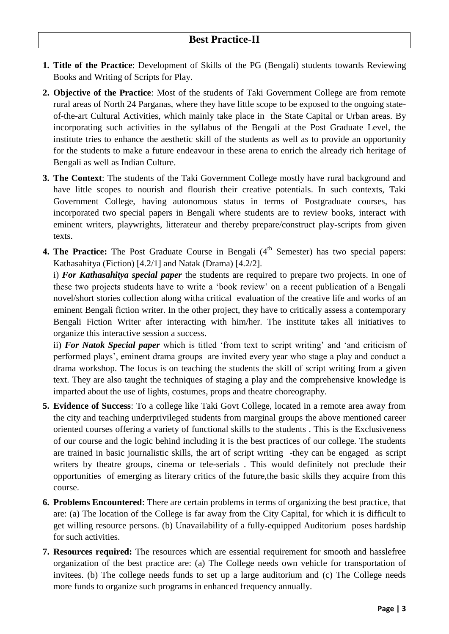- **1. Title of the Practice**: Development of Skills of the PG (Bengali) students towards Reviewing Books and Writing of Scripts for Play.
- **2. Objective of the Practice**: Most of the students of Taki Government College are from remote rural areas of North 24 Parganas, where they have little scope to be exposed to the ongoing stateof-the-art Cultural Activities, which mainly take place in the State Capital or Urban areas. By incorporating such activities in the syllabus of the Bengali at the Post Graduate Level, the institute tries to enhance the aesthetic skill of the students as well as to provide an opportunity for the students to make a future endeavour in these arena to enrich the already rich heritage of Bengali as well as Indian Culture.
- **3. The Context**: The students of the Taki Government College mostly have rural background and have little scopes to nourish and flourish their creative potentials. In such contexts, Taki Government College, having autonomous status in terms of Postgraduate courses, has incorporated two special papers in Bengali where students are to review books, interact with eminent writers, playwrights, litterateur and thereby prepare/construct play-scripts from given texts.
- **4. The Practice:** The Post Graduate Course in Bengali (4<sup>th</sup> Semester) has two special papers: Kathasahitya (Fiction) [4.2/1] and Natak (Drama) [4.2/2].

i) *For Kathasahitya special paper* the students are required to prepare two projects. In one of these two projects students have to write a "book review" on a recent publication of a Bengali novel/short stories collection along witha critical evaluation of the creative life and works of an eminent Bengali fiction writer. In the other project, they have to critically assess a contemporary Bengali Fiction Writer after interacting with him/her. The institute takes all initiatives to organize this interactive session a success.

ii) *For Natok Special paper* which is titled 'from text to script writing' and 'and criticism of performed plays', eminent drama groups are invited every year who stage a play and conduct a drama workshop. The focus is on teaching the students the skill of script writing from a given text. They are also taught the techniques of staging a play and the comprehensive knowledge is imparted about the use of lights, costumes, props and theatre choreography.

- **5. Evidence of Success**: To a college like Taki Govt College, located in a remote area away from the city and teaching underprivileged students from marginal groups the above mentioned career oriented courses offering a variety of functional skills to the students . This is the Exclusiveness of our course and the logic behind including it is the best practices of our college. The students are trained in basic journalistic skills, the art of script writing -they can be engaged as script writers by theatre groups, cinema or tele-serials . This would definitely not preclude their opportunities of emerging as literary critics of the future,the basic skills they acquire from this course.
- **6. Problems Encountered**: There are certain problems in terms of organizing the best practice, that are: (a) The location of the College is far away from the City Capital, for which it is difficult to get willing resource persons. (b) Unavailability of a fully-equipped Auditorium poses hardship for such activities.
- **7. Resources required:** The resources which are essential requirement for smooth and hasslefree organization of the best practice are: (a) The College needs own vehicle for transportation of invitees. (b) The college needs funds to set up a large auditorium and (c) The College needs more funds to organize such programs in enhanced frequency annually.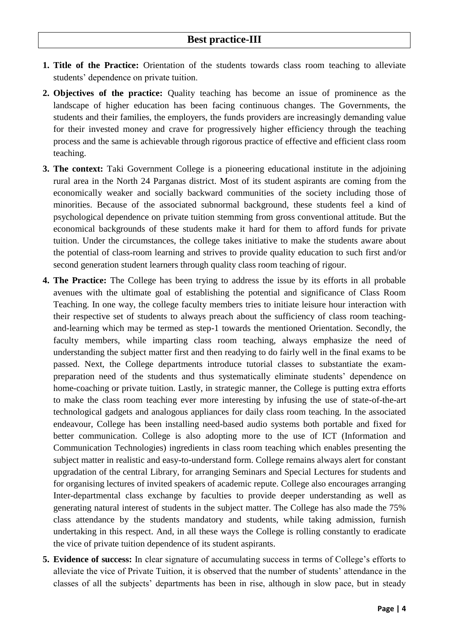- **1. Title of the Practice:** Orientation of the students towards class room teaching to alleviate students" dependence on private tuition.
- **2. Objectives of the practice:** Quality teaching has become an issue of prominence as the landscape of higher education has been facing continuous changes. The Governments, the students and their families, the employers, the funds providers are increasingly demanding value for their invested money and crave for progressively higher efficiency through the teaching process and the same is achievable through rigorous practice of effective and efficient class room teaching.
- **3. The context:** Taki Government College is a pioneering educational institute in the adjoining rural area in the North 24 Parganas district. Most of its student aspirants are coming from the economically weaker and socially backward communities of the society including those of minorities. Because of the associated subnormal background, these students feel a kind of psychological dependence on private tuition stemming from gross conventional attitude. But the economical backgrounds of these students make it hard for them to afford funds for private tuition. Under the circumstances, the college takes initiative to make the students aware about the potential of class-room learning and strives to provide quality education to such first and/or second generation student learners through quality class room teaching of rigour.
- **4. The Practice:** The College has been trying to address the issue by its efforts in all probable avenues with the ultimate goal of establishing the potential and significance of Class Room Teaching. In one way, the college faculty members tries to initiate leisure hour interaction with their respective set of students to always preach about the sufficiency of class room teachingand-learning which may be termed as step-1 towards the mentioned Orientation. Secondly, the faculty members, while imparting class room teaching, always emphasize the need of understanding the subject matter first and then readying to do fairly well in the final exams to be passed. Next, the College departments introduce tutorial classes to substantiate the exampreparation need of the students and thus systematically eliminate students" dependence on home-coaching or private tuition. Lastly, in strategic manner, the College is putting extra efforts to make the class room teaching ever more interesting by infusing the use of state-of-the-art technological gadgets and analogous appliances for daily class room teaching. In the associated endeavour, College has been installing need-based audio systems both portable and fixed for better communication. College is also adopting more to the use of ICT (Information and Communication Technologies) ingredients in class room teaching which enables presenting the subject matter in realistic and easy-to-understand form. College remains always alert for constant upgradation of the central Library, for arranging Seminars and Special Lectures for students and for organising lectures of invited speakers of academic repute. College also encourages arranging Inter-departmental class exchange by faculties to provide deeper understanding as well as generating natural interest of students in the subject matter. The College has also made the 75% class attendance by the students mandatory and students, while taking admission, furnish undertaking in this respect. And, in all these ways the College is rolling constantly to eradicate the vice of private tuition dependence of its student aspirants.
- **5.** Evidence of success: In clear signature of accumulating success in terms of College's efforts to alleviate the vice of Private Tuition, it is observed that the number of students' attendance in the classes of all the subjects' departments has been in rise, although in slow pace, but in steady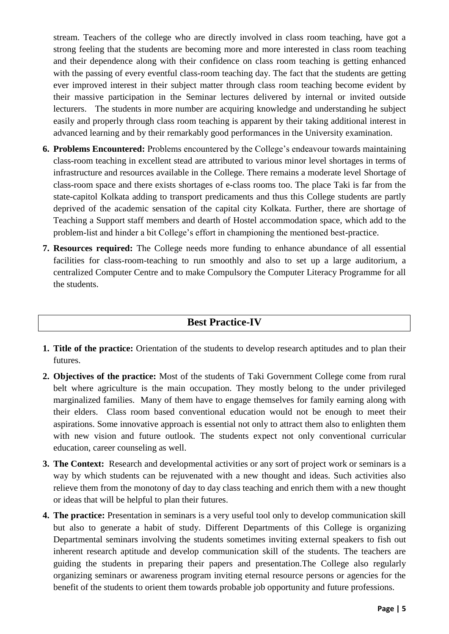stream. Teachers of the college who are directly involved in class room teaching, have got a strong feeling that the students are becoming more and more interested in class room teaching and their dependence along with their confidence on class room teaching is getting enhanced with the passing of every eventful class-room teaching day. The fact that the students are getting ever improved interest in their subject matter through class room teaching become evident by their massive participation in the Seminar lectures delivered by internal or invited outside lecturers. The students in more number are acquiring knowledge and understanding he subject easily and properly through class room teaching is apparent by their taking additional interest in advanced learning and by their remarkably good performances in the University examination.

- **6. Problems Encountered:** Problems encountered by the College"s endeavour towards maintaining class-room teaching in excellent stead are attributed to various minor level shortages in terms of infrastructure and resources available in the College. There remains a moderate level Shortage of class-room space and there exists shortages of e-class rooms too. The place Taki is far from the state-capitol Kolkata adding to transport predicaments and thus this College students are partly deprived of the academic sensation of the capital city Kolkata. Further, there are shortage of Teaching a Support staff members and dearth of Hostel accommodation space, which add to the problem-list and hinder a bit College"s effort in championing the mentioned best-practice.
- **7. Resources required:** The College needs more funding to enhance abundance of all essential facilities for class-room-teaching to run smoothly and also to set up a large auditorium, a centralized Computer Centre and to make Compulsory the Computer Literacy Programme for all the students.

#### **Best Practice-IV**

- **1. Title of the practice:** Orientation of the students to develop research aptitudes and to plan their futures.
- **2. Objectives of the practice:** Most of the students of Taki Government College come from rural belt where agriculture is the main occupation. They mostly belong to the under privileged marginalized families. Many of them have to engage themselves for family earning along with their elders. Class room based conventional education would not be enough to meet their aspirations. Some innovative approach is essential not only to attract them also to enlighten them with new vision and future outlook. The students expect not only conventional curricular education, career counseling as well.
- **3. The Context:** Research and developmental activities or any sort of project work or seminars is a way by which students can be rejuvenated with a new thought and ideas. Such activities also relieve them from the monotony of day to day class teaching and enrich them with a new thought or ideas that will be helpful to plan their futures.
- **4. The practice:** Presentation in seminars is a very useful tool only to develop communication skill but also to generate a habit of study. Different Departments of this College is organizing Departmental seminars involving the students sometimes inviting external speakers to fish out inherent research aptitude and develop communication skill of the students. The teachers are guiding the students in preparing their papers and presentation.The College also regularly organizing seminars or awareness program inviting eternal resource persons or agencies for the benefit of the students to orient them towards probable job opportunity and future professions.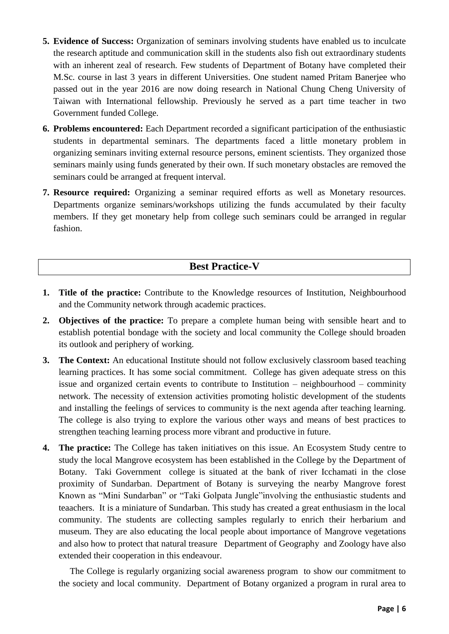- **5. Evidence of Success:** Organization of seminars involving students have enabled us to inculcate the research aptitude and communication skill in the students also fish out extraordinary students with an inherent zeal of research. Few students of Department of Botany have completed their M.Sc. course in last 3 years in different Universities. One student named Pritam Banerjee who passed out in the year 2016 are now doing research in National Chung Cheng University of Taiwan with International fellowship. Previously he served as a part time teacher in two Government funded College.
- **6. Problems encountered:** Each Department recorded a significant participation of the enthusiastic students in departmental seminars. The departments faced a little monetary problem in organizing seminars inviting external resource persons, eminent scientists. They organized those seminars mainly using funds generated by their own. If such monetary obstacles are removed the seminars could be arranged at frequent interval.
- **7. Resource required:** Organizing a seminar required efforts as well as Monetary resources. Departments organize seminars/workshops utilizing the funds accumulated by their faculty members. If they get monetary help from college such seminars could be arranged in regular fashion.

#### **Best Practice-V**

- **1. Title of the practice:** Contribute to the Knowledge resources of Institution, Neighbourhood and the Community network through academic practices.
- **2. Objectives of the practice:** To prepare a complete human being with sensible heart and to establish potential bondage with the society and local community the College should broaden its outlook and periphery of working.
- **3. The Context:** An educational Institute should not follow exclusively classroom based teaching learning practices. It has some social commitment. College has given adequate stress on this issue and organized certain events to contribute to Institution – neighbourhood – comminity network. The necessity of extension activities promoting holistic development of the students and installing the feelings of services to community is the next agenda after teaching learning. The college is also trying to explore the various other ways and means of best practices to strengthen teaching learning process more vibrant and productive in future.
- **4. The practice:** The College has taken initiatives on this issue. An Ecosystem Study centre to study the local Mangrove ecosystem has been established in the College by the Department of Botany. Taki Government college is situated at the bank of river Icchamati in the close proximity of Sundarban. Department of Botany is surveying the nearby Mangrove forest Known as "Mini Sundarban" or "Taki Golpata Jungle"involving the enthusiastic students and teaachers. It is a miniature of Sundarban. This study has created a great enthusiasm in the local community. The students are collecting samples regularly to enrich their herbarium and museum. They are also educating the local people about importance of Mangrove vegetations and also how to protect that natural treasure Department of Geography and Zoology have also extended their cooperation in this endeavour.

The College is regularly organizing social awareness program to show our commitment to the society and local community. Department of Botany organized a program in rural area to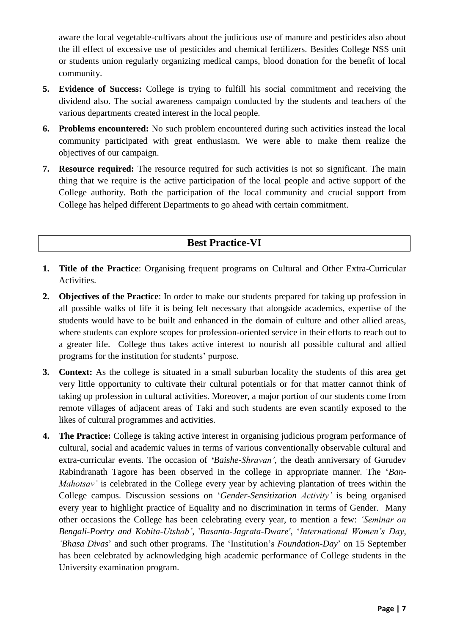aware the local vegetable-cultivars about the judicious use of manure and pesticides also about the ill effect of excessive use of pesticides and chemical fertilizers. Besides College NSS unit or students union regularly organizing medical camps, blood donation for the benefit of local community.

- **5. Evidence of Success:** College is trying to fulfill his social commitment and receiving the dividend also. The social awareness campaign conducted by the students and teachers of the various departments created interest in the local people.
- **6. Problems encountered:** No such problem encountered during such activities instead the local community participated with great enthusiasm. We were able to make them realize the objectives of our campaign.
- **7. Resource required:** The resource required for such activities is not so significant. The main thing that we require is the active participation of the local people and active support of the College authority. Both the participation of the local community and crucial support from College has helped different Departments to go ahead with certain commitment.

### **Best Practice-VI**

- **1. Title of the Practice**: Organising frequent programs on Cultural and Other Extra-Curricular Activities.
- **2. Objectives of the Practice**: In order to make our students prepared for taking up profession in all possible walks of life it is being felt necessary that alongside academics, expertise of the students would have to be built and enhanced in the domain of culture and other allied areas, where students can explore scopes for profession-oriented service in their efforts to reach out to a greater life. College thus takes active interest to nourish all possible cultural and allied programs for the institution for students" purpose.
- **3. Context:** As the college is situated in a small suburban locality the students of this area get very little opportunity to cultivate their cultural potentials or for that matter cannot think of taking up profession in cultural activities. Moreover, a major portion of our students come from remote villages of adjacent areas of Taki and such students are even scantily exposed to the likes of cultural programmes and activities.
- **4. The Practice:** College is taking active interest in organising judicious program performance of cultural, social and academic values in terms of various conventionally observable cultural and extra-curricular events. The occasion of *'Baishe-Shravan'*, the death anniversary of Gurudev Rabindranath Tagore has been observed in the college in appropriate manner. The "*Ban-Mahotsav'* is celebrated in the College every year by achieving plantation of trees within the College campus. Discussion sessions on "*Gender-Sensitization Activity'* is being organised every year to highlight practice of Equality and no discrimination in terms of Gender. Many other occasions the College has been celebrating every year, to mention a few: *'Seminar on Bengali-Poetry and Kobita-Utshab'*, '*Basanta-Jagrata-Dware'*, "*International Women's Day*, *'Bhasa Divas*" and such other programs. The "Institution"s *Foundation-Day*" on 15 September has been celebrated by acknowledging high academic performance of College students in the University examination program.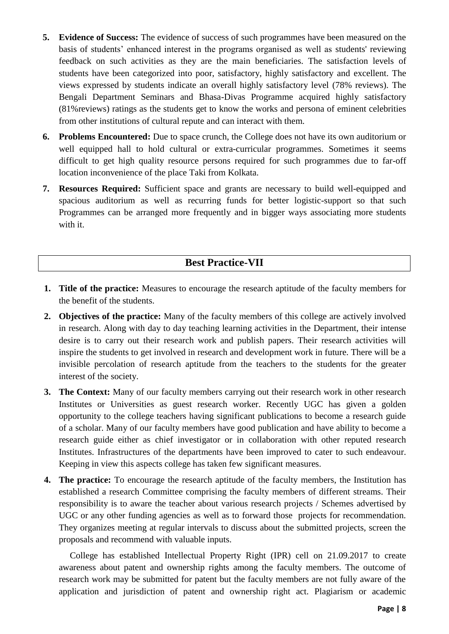- **5. Evidence of Success:** The evidence of success of such programmes have been measured on the basis of students" enhanced interest in the programs organised as well as students' reviewing feedback on such activities as they are the main beneficiaries. The satisfaction levels of students have been categorized into poor, satisfactory, highly satisfactory and excellent. The views expressed by students indicate an overall highly satisfactory level (78% reviews). The Bengali Department Seminars and Bhasa-Divas Programme acquired highly satisfactory (81%reviews) ratings as the students get to know the works and persona of eminent celebrities from other institutions of cultural repute and can interact with them.
- **6. Problems Encountered:** Due to space crunch, the College does not have its own auditorium or well equipped hall to hold cultural or extra-curricular programmes. Sometimes it seems difficult to get high quality resource persons required for such programmes due to far-off location inconvenience of the place Taki from Kolkata.
- **7. Resources Required:** Sufficient space and grants are necessary to build well-equipped and spacious auditorium as well as recurring funds for better logistic-support so that such Programmes can be arranged more frequently and in bigger ways associating more students with it.

#### **Best Practice-VII**

- **1. Title of the practice:** Measures to encourage the research aptitude of the faculty members for the benefit of the students.
- **2. Objectives of the practice:** Many of the faculty members of this college are actively involved in research. Along with day to day teaching learning activities in the Department, their intense desire is to carry out their research work and publish papers. Their research activities will inspire the students to get involved in research and development work in future. There will be a invisible percolation of research aptitude from the teachers to the students for the greater interest of the society.
- **3. The Context:** Many of our faculty members carrying out their research work in other research Institutes or Universities as guest research worker. Recently UGC has given a golden opportunity to the college teachers having significant publications to become a research guide of a scholar. Many of our faculty members have good publication and have ability to become a research guide either as chief investigator or in collaboration with other reputed research Institutes. Infrastructures of the departments have been improved to cater to such endeavour. Keeping in view this aspects college has taken few significant measures.
- **4. The practice:** To encourage the research aptitude of the faculty members, the Institution has established a research Committee comprising the faculty members of different streams. Their responsibility is to aware the teacher about various research projects / Schemes advertised by UGC or any other funding agencies as well as to forward those projects for recommendation. They organizes meeting at regular intervals to discuss about the submitted projects, screen the proposals and recommend with valuable inputs.

College has established Intellectual Property Right (IPR) cell on 21.09.2017 to create awareness about patent and ownership rights among the faculty members. The outcome of research work may be submitted for patent but the faculty members are not fully aware of the application and jurisdiction of patent and ownership right act. Plagiarism or academic